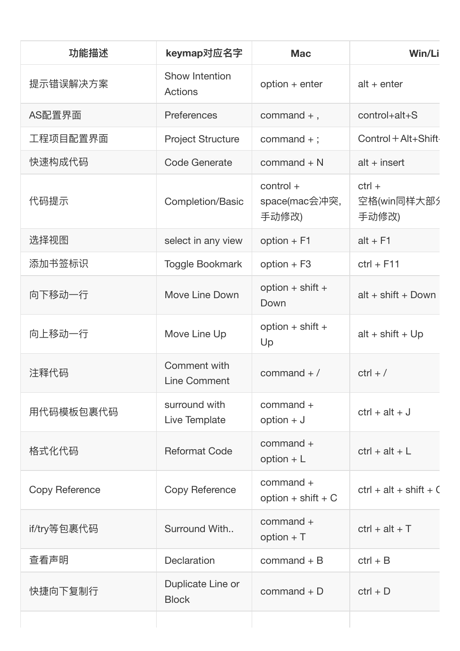| 功能描述           | keymap对应名字                          | <b>Mac</b>                            | Win/Li                           |
|----------------|-------------------------------------|---------------------------------------|----------------------------------|
| 提示错误解决方案       | Show Intention<br>Actions           | $option + enter$                      | $alt + enter$                    |
| AS配置界面         | Preferences                         | command $+$ ,                         | $control+alt+S$                  |
| 工程项目配置界面       | <b>Project Structure</b>            | command $+$ ;                         | Control + Alt+Shift-             |
| 快速构成代码         | <b>Code Generate</b>                | command $+$ N                         | $alt + insert$                   |
| 代码提示           | Completion/Basic                    | $control +$<br>space(mac会冲突,<br>手动修改) | $ctrl +$<br>空格(win同样大部分<br>手动修改) |
| 选择视图           | select in any view                  | $option + F1$                         | $alt + F1$                       |
| 添加书签标识         | <b>Toggle Bookmark</b>              | $option + F3$                         | $ctrl + F11$                     |
| 向下移动一行         | Move Line Down                      | option $+$ shift $+$<br>Down          | $alt + shift + Down$             |
| 向上移动一行         | Move Line Up                        | option $+$ shift $+$<br>Up            | $alt + shift + Up$               |
| 注释代码           | Comment with<br><b>Line Comment</b> | command $+$ /                         | $ctrl + l$                       |
| 用代码模板包裹代码      | surround with<br>Live Template      | $command +$<br>option $+$ J           | $ctrl + alt + J$                 |
| 格式化代码          | <b>Reformat Code</b>                | $command +$<br>option $+L$            | $ctrl + alt + L$                 |
| Copy Reference | Copy Reference                      | $command +$<br>option + shift + $C$   | $ctrl + alt + shift + C$         |
| if/try等包裹代码    | Surround With                       | $command +$<br>$option + T$           | $ctrl + alt + T$                 |
| 查看声明           | Declaration                         | command $+$ B                         | $ctrl + B$                       |
| 快捷向下复制行        | Duplicate Line or<br><b>Block</b>   | command $+$ D                         | $ctrl + D$                       |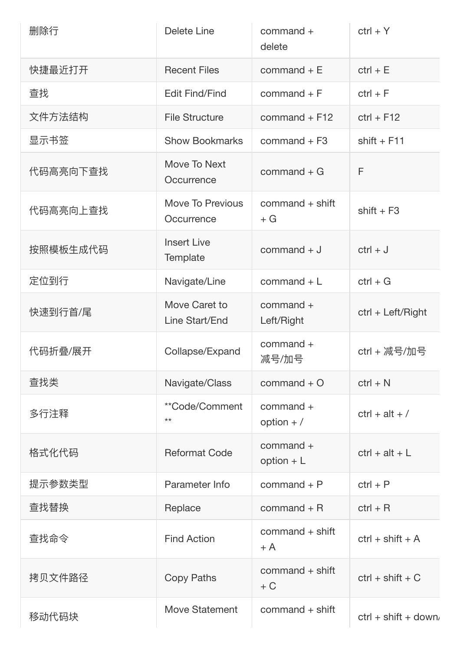| 删除行      | Delete Line                           | $command +$<br>delete       | $ctrl + Y$            |
|----------|---------------------------------------|-----------------------------|-----------------------|
| 快捷最近打开   | <b>Recent Files</b>                   | command $+ E$               | $ctrl + E$            |
| 查找       | <b>Edit Find/Find</b>                 | command $+$ F               | $ctrl + F$            |
| 文件方法结构   | <b>File Structure</b>                 | command $+$ F12             | $ctrl + F12$          |
| 显示书签     | <b>Show Bookmarks</b>                 | command $+ F3$              | shift $+$ F11         |
| 代码高亮向下查找 | Move To Next<br>Occurrence            | command $+$ G               | F                     |
| 代码高亮向上查找 | <b>Move To Previous</b><br>Occurrence | $command + shift$<br>$+$ G  | $shift + F3$          |
| 按照模板生成代码 | <b>Insert Live</b><br>Template        | command $+$ J               | $ctrl + J$            |
| 定位到行     | Navigate/Line                         | command $+L$                | $ctrl + G$            |
| 快速到行首/尾  | Move Caret to<br>Line Start/End       | $command +$<br>Left/Right   | ctrl + Left/Right     |
| 代码折叠/展开  | Collapse/Expand                       | $command +$<br>减号/加号        | ctrl + 减号/加号          |
| 查找类      | Navigate/Class                        | command $+$ O               | $ctrl + N$            |
| 多行注释     | **Code/Comment<br>$**$                | $command +$<br>option $+ /$ | $ctrl + alt + l$      |
| 格式化代码    | <b>Reformat Code</b>                  | $command +$<br>option $+L$  | $ctrl + alt + L$      |
| 提示参数类型   | Parameter Info                        | command $+$ P               | $ctrl + P$            |
| 查找替换     | Replace                               | command $+$ R               | $ctrl + R$            |
| 查找命令     | <b>Find Action</b>                    | $command + shift$<br>$+A$   | $ctrl + shift + A$    |
| 拷贝文件路径   | <b>Copy Paths</b>                     | $command + shift$<br>$+ C$  | $ctrl + shift + C$    |
| 移动代码块    | <b>Move Statement</b>                 | $command + shift$           | $ctrl + shift + down$ |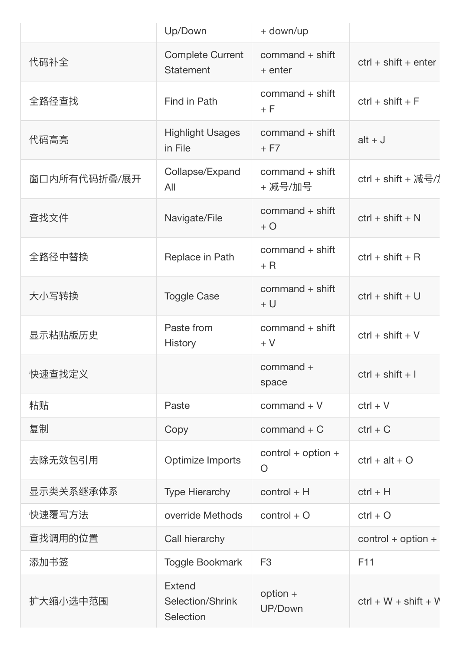|              | Up/Down                                     | + down/up                          |                                   |
|--------------|---------------------------------------------|------------------------------------|-----------------------------------|
| 代码补全         | <b>Complete Current</b><br><b>Statement</b> | $command + shift$<br>$+$ enter     | $ctrl + shift + enter$            |
| 全路径查找        | Find in Path                                | $command + shift$<br>$+ F$         | $ctrl + shift + F$                |
| 代码高亮         | <b>Highlight Usages</b><br>in File          | $command + shift$<br>$+ F7$        | $alt + J$                         |
| 窗口内所有代码折叠/展开 | Collapse/Expand<br>All                      | $command + shift$<br>+ 减号/加号       | $ctrl + shift + \overline{m} = 7$ |
| 查找文件         | Navigate/File                               | $command + shift$<br>$+O$          | $ctrl + shift + N$                |
| 全路径中替换       | Replace in Path                             | $command + shift$<br>$+ R$         | $ctrl + shift + R$                |
| 大小写转换        | <b>Toggle Case</b>                          | $command + shift$<br>$+U$          | $ctrl + shift + U$                |
| 显示粘贴版历史      | Paste from<br><b>History</b>                | $command + shift$<br>$+V$          | $ctrl + shift + V$                |
| 快速查找定义       |                                             | $common +$<br>space                | $ctrl + shift + l$                |
| 粘贴           | Paste                                       | $command + V$                      | $ctrl + V$                        |
| 复制           | Copy                                        | command $+ C$                      | $ctrl + C$                        |
| 去除无效包引用      | Optimize Imports                            | $control + option +$<br>$\bigcirc$ | $ctrl + alt + O$                  |
| 显示类关系继承体系    | <b>Type Hierarchy</b>                       | $control + H$                      | $ctrl + H$                        |
| 快速覆写方法       | override Methods                            | $control + O$                      | $ctrl + O$                        |
| 查找调用的位置      | Call hierarchy                              |                                    | $control + option +$              |
| 添加书签         | Toggle Bookmark                             | F <sub>3</sub>                     | F11                               |
| 扩大缩小选中范围     | Extend<br>Selection/Shrink<br>Selection     | $option +$<br>UP/Down              | $ctrl + W + shift + W$            |